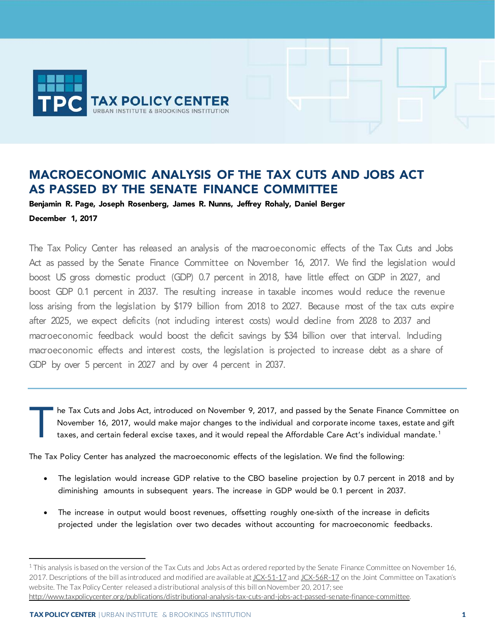

# MACROECONOMIC ANALYSIS OF THE TAX CUTS AND JOBS ACT AS PASSED BY THE SENATE FINANCE COMMITTEE

Benjamin R. Page, Joseph Rosenberg, James R. Nunns, Jeffrey Rohaly, Daniel Berger December 1, 2017

The Tax Policy Center has released an analysis of the macroeconomic effects of the Tax Cuts and Jobs Act as passed by the Senate Finance Committee on November 16, 2017. We find the legislation would boost US gross domestic product (GDP) 0.7 percent in 2018, have little effect on GDP in 2027, and boost GDP 0.1 percent in 2037. The resulting increase in taxable incomes would reduce the revenue loss arising from the legislation by \$179 billion from 2018 to 2027. Because most of the tax cuts expire after 2025, we expect deficits (not including interest costs) would decline from 2028 to 2037 and macroeconomic feedback would boost the deficit savings by \$34 billion over that interval. Including macroeconomic effects and interest costs, the legislation is projected to increase debt as a share of GDP by over 5 percent in 2027 and by over 4 percent in 2037.

he Tax Cuts and Jobs Act, introduced on November 9, 2017, and passed by the Senate Finance Committee on November 16, 2017, would make major changes to the individual and corporate income taxes, estate and gift taxes, and certain federal excise taxes, and it would repeal the Affordable Care Act's individual mandate.<sup>[1](#page-0-0)</sup> T

The Tax Policy Center has analyzed the macroeconomic effects of the legislation. We find the following:

- The legislation would increase GDP relative to the CBO baseline projection by 0.7 percent in 2018 and by diminishing amounts in subsequent years. The increase in GDP would be 0.1 percent in 2037.
- The increase in output would boost revenues, offsetting roughly one-sixth of the increase in deficits projected under the legislation over two decades without accounting for macroeconomic feedbacks.

j

<span id="page-0-0"></span> $1$  This analysis is based on the version of the Tax Cuts and Jobs Act as ordered reported by the Senate Finance Committee on November 16, 2017. Descriptions of the bill as introduced and modified are available a[t JCX-51-17](https://www.jct.gov/publications.html?func=startdown&id=5032) an[d JCX-56R-17](https://www.jct.gov/publications.html?func=startdown&id=5039) on the Joint Committee on Taxation's website. The Tax Policy Center released a distributional analysis of this bill on November 20, 2017; see [http://www.taxpolicycenter.org/publications/distributional-analysis-tax-cuts-and-jobs-act-passed-senate-finance-committee.](http://www.taxpolicycenter.org/publications/distributional-analysis-tax-cuts-and-jobs-act-passed-senate-finance-committee)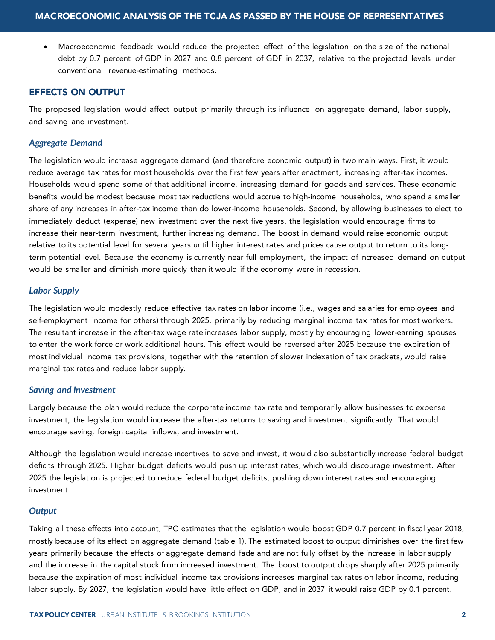• Macroeconomic feedback would reduce the projected effect of the legislation on the size of the national debt by 0.7 percent of GDP in 2027 and 0.8 percent of GDP in 2037, relative to the projected levels under conventional revenue-estimating methods.

## EFFECTS ON OUTPUT

The proposed legislation would affect output primarily through its influence on aggregate demand, labor supply, and saving and investment.

## *Aggregate Demand*

The legislation would increase aggregate demand (and therefore economic output) in two main ways. First, it would reduce average tax rates for most households over the first few years after enactment, increasing after-tax incomes. Households would spend some of that additional income, increasing demand for goods and services. These economic benefits would be modest because most tax reductions would accrue to high-income households, who spend a smaller share of any increases in after-tax income than do lower-income households. Second, by allowing businesses to elect to immediately deduct (expense) new investment over the next five years, the legislation would encourage firms to increase their near-term investment, further increasing demand. The boost in demand would raise economic output relative to its potential level for several years until higher interest rates and prices cause output to return to its longterm potential level. Because the economy is currently near full employment, the impact of increased demand on output would be smaller and diminish more quickly than it would if the economy were in recession.

## *Labor Supply*

The legislation would modestly reduce effective tax rates on labor income (i.e., wages and salaries for employees and self-employment income for others) through 2025, primarily by reducing marginal income tax rates for most workers. The resultant increase in the after-tax wage rate increases labor supply, mostly by encouraging lower-earning spouses to enter the work force or work additional hours. This effect would be reversed after 2025 because the expiration of most individual income tax provisions, together with the retention of slower indexation of tax brackets, would raise marginal tax rates and reduce labor supply.

#### *Saving and Investment*

Largely because the plan would reduce the corporate income tax rate and temporarily allow businesses to expense investment, the legislation would increase the after-tax returns to saving and investment significantly. That would encourage saving, foreign capital inflows, and investment.

Although the legislation would increase incentives to save and invest, it would also substantially increase federal budget deficits through 2025. Higher budget deficits would push up interest rates, which would discourage investment. After 2025 the legislation is projected to reduce federal budget deficits, pushing down interest rates and encouraging investment.

#### *Output*

Taking all these effects into account, TPC estimates that the legislation would boost GDP 0.7 percent in fiscal year 2018, mostly because of its effect on aggregate demand (table 1). The estimated boost to output diminishes over the first few years primarily because the effects of aggregate demand fade and are not fully offset by the increase in labor supply and the increase in the capital stock from increased investment. The boost to output drops sharply after 2025 primarily because the expiration of most individual income tax provisions increases marginal tax rates on labor income, reducing labor supply. By 2027, the legislation would have little effect on GDP, and in 2037 it would raise GDP by 0.1 percent.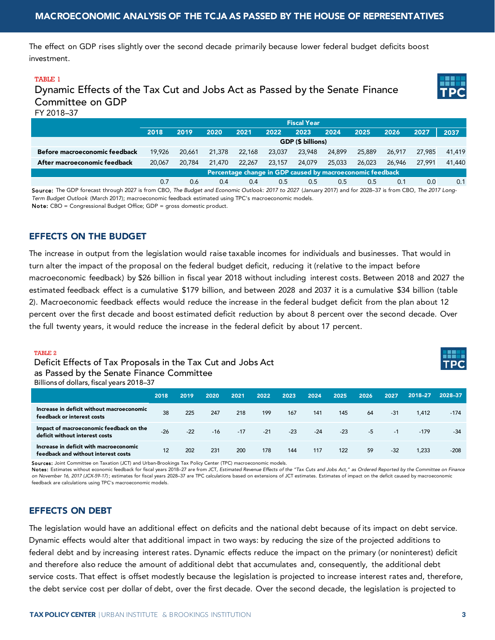The effect on GDP rises slightly over the second decade primarily because lower federal budget deficits boost investment.

#### TABLE 1

Dynamic Effects of the Tax Cut and Jobs Act as Passed by the Senate Finance Committee on GDP FY 2018–37



|                               | <b>Fiscal Year</b>                                        |        |        |        |        |        |        |        |        |        |        |
|-------------------------------|-----------------------------------------------------------|--------|--------|--------|--------|--------|--------|--------|--------|--------|--------|
|                               | 2018                                                      | 2019   | 2020   | 2021   | 2022   | 2023   | 2024   | 2025   | 2026   | 2027   | 2037   |
|                               | GDP (\$ billions)                                         |        |        |        |        |        |        |        |        |        |        |
| Before macroeconomic feedback | 19.926                                                    | 20.661 | 21,378 | 22,168 | 23,037 | 23,948 | 24,899 | 25,889 | 26.917 | 27.985 | 41,419 |
| After macroeconomic feedback  | 20,067                                                    | 20,784 | 21,470 | 22,267 | 23,157 | 24,079 | 25,033 | 26,023 | 26,946 | 27.991 | 41,440 |
|                               | Percentage change in GDP caused by macroeconomic feedback |        |        |        |        |        |        |        |        |        |        |
|                               | 0.7                                                       | 0.6    | 0.4    | 0.4    | 0.5    | 0.5    | 0.5    | 0.5    | 0.1    | 0.0    | 0.1    |

Source: The GDP forecast through 2027 is from CBO, *The Budget and Economic Outlook: 2017 to 2027* (January 2017) and for 2028–37 is from CBO, *The 2017 Long-Term Budget Outlook* (March 2017); macroeconomic feedback estimated using TPC's macroeconomic models. Note: CBO = Congressional Budget Office; GDP = gross domestic product.

# EFFECTS ON THE BUDGET

The increase in output from the legislation would raise taxable incomes for individuals and businesses. That would in turn alter the impact of the proposal on the federal budget deficit, reducing it (relative to the impact before macroeconomic feedback) by \$26 billion in fiscal year 2018 without including interest costs. Between 2018 and 2027 the estimated feedback effect is a cumulative \$179 billion, and between 2028 and 2037 it is a cumulative \$34 billion (table 2). Macroeconomic feedback effects would reduce the increase in the federal budget deficit from the plan about 12 percent over the first decade and boost estimated deficit reduction by about 8 percent over the second decade. Over the full twenty years, it would reduce the increase in the federal deficit by about 17 percent.

#### TABLE 2

Deficit Effects of Tax Proposals in the Tax Cut and Jobs Act as Passed by the Senate Finance Committee Billions of dollars, fiscal years 2018–37



|                                                                               | 2018  | 2019  | 2020  | 2021  | 2022  | 2023  | 2024  | 2025  | 2026 | 2027  | 2018-27 | 2028-37 |
|-------------------------------------------------------------------------------|-------|-------|-------|-------|-------|-------|-------|-------|------|-------|---------|---------|
| Increase in deficit without macroeconomic<br>feedback or interest costs       | 38    | 225   | 247   | 218   | 199   | 167   | 141   | 145   | 64   | $-31$ | 1.412   | $-174$  |
| Impact of macroeconomic feedback on the<br>deficit without interest costs     | $-26$ | $-22$ | $-16$ | $-17$ | $-21$ | $-23$ | $-24$ | $-23$ | $-5$ | $-1$  | $-179$  | $-34$   |
| Increase in deficit with macroeconomic<br>feedback and without interest costs | 12    | 202   | 231   | 200   | 178   | 144   | 117   | 122   | 59   | $-32$ | .233    | $-208$  |

Sources: Joint Committee on Taxation (JCT) and Urban-Brookings Tax Policy Center (TPC) macroeconomic models.

Notes: Estimates without economic feedback for fiscal years 2018–27 are from JCT, Estimated Revenue Effects of the "Tax Cuts and Jobs Act," as Ordered Reported by the Committee on Finance *on November 16, 2017 (JCX-59-17)* ; estimates for fiscal years 2028–37 are TPC calculations based on extensions of JCT estimates. Estimates of impact on the deficit caused by macroeconomic feedback are calculations using TPC's macroeconomic models.

# EFFECTS ON DEBT

The legislation would have an additional effect on deficits and the national debt because of its impact on debt service. Dynamic effects would alter that additional impact in two ways: by reducing the size of the projected additions to federal debt and by increasing interest rates. Dynamic effects reduce the impact on the primary (or noninterest) deficit and therefore also reduce the amount of additional debt that accumulates and, consequently, the additional debt service costs. That effect is offset modestly because the legislation is projected to increase interest rates and, therefore, the debt service cost per dollar of debt, over the first decade. Over the second decade, the legislation is projected to